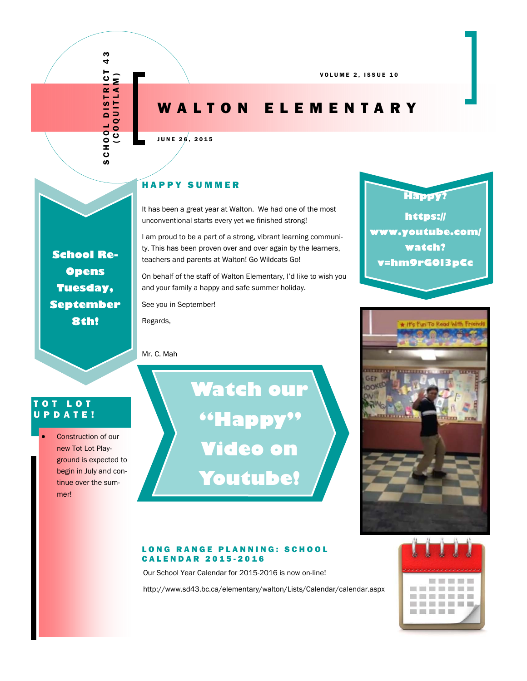# WALTON ELEMENTARY

#### JUNE 26, 2015

#### HAPPY SUMMER

It has been a great year at Walton. We had one of the most unconventional starts every yet we finished strong!

I am proud to be a part of a strong, vibrant learning community. This has been proven over and over again by the learners, teachers and parents at Walton! Go Wildcats Go!

On behalf of the staff of Walton Elementary, I'd like to wish you and your family a happy and safe summer holiday.

See you in September!

Regards,

#### Mr. C. Mah

TOT LOT UPDATE! Construction of our new Tot Lot Play-

**School Re-Opens Tuesday, September 8th!** 

SCHOOL DISTRICT 43 (COQUITLAM)

**SCHOOL** 

**OOL DISTRI**<br>COQUITLAN

 $\frac{3}{4}$ 

 $rac{1}{2}$ 

ground is expected to begin in July and continue over the summer!

**Watch our "Happy" Video on Youtube!** 



Our School Year Calendar for 2015-2016 is now on-line!

http://www.sd43.bc.ca/elementary/walton/Lists/Calendar/calendar.aspx





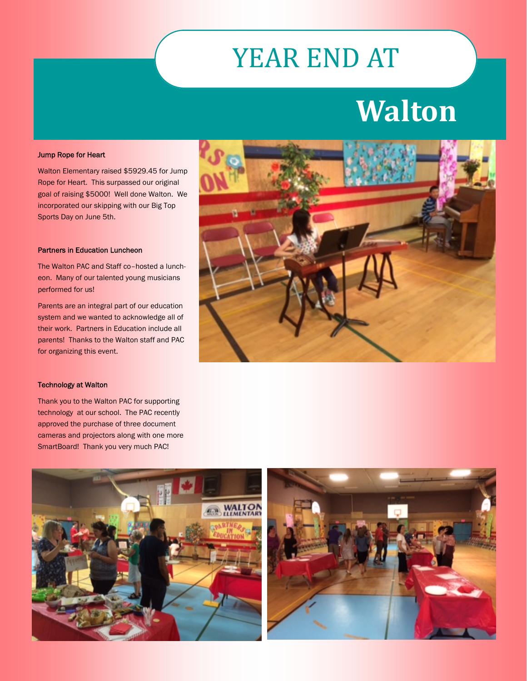# YEAR END AT

# **Walton**

#### Jump Rope for Heart

Walton Elementary raised \$5929.45 for Jump Rope for Heart. This surpassed our original goal of raising \$5000! Well done Walton. We incorporated our skipping with our Big Top Sports Day on June 5th.

#### Partners in Education Luncheon

The Walton PAC and Staff co–hosted a luncheon. Many of our talented young musicians performed for us!

Parents are an integral part of our education system and we wanted to acknowledge all of their work. Partners in Education include all parents! Thanks to the Walton staff and PAC for organizing this event.



#### Technology at Walton

Thank you to the Walton PAC for supporting technology at our school. The PAC recently approved the purchase of three document cameras and projectors along with one more SmartBoard! Thank you very much PAC!



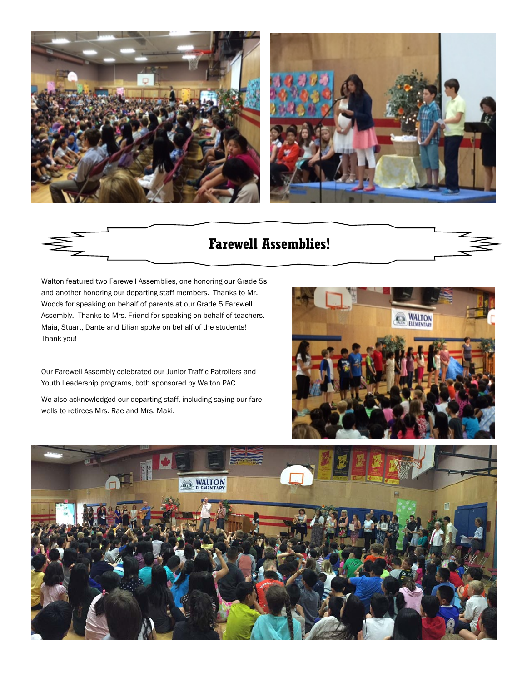



# **Farewell Assemblies!**

Walton featured two Farewell Assemblies, one honoring our Grade 5s and another honoring our departing staff members. Thanks to Mr. Woods for speaking on behalf of parents at our Grade 5 Farewell Assembly. Thanks to Mrs. Friend for speaking on behalf of teachers. Maia, Stuart, Dante and Lilian spoke on behalf of the students! Thank you!

Our Farewell Assembly celebrated our Junior Traffic Patrollers and Youth Leadership programs, both sponsored by Walton PAC.

We also acknowledged our departing staff, including saying our farewells to retirees Mrs. Rae and Mrs. Maki.



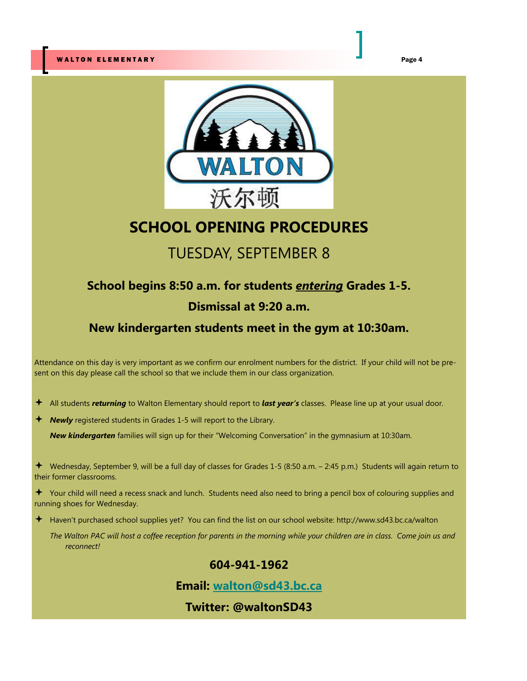

# **SCHOOL OPENING PROCEDURES**

# TUESDAY, SEPTEMBER 8

# **School begins 8:50 a.m. for students** *entering* **Grades 1-5.**

## **Dismissal at 9:20 a.m.**

## **New kindergarten students meet in the gym at 10:30am.**

Attendance on this day is very important as we confirm our enrolment numbers for the district. If your child will not be present on this day please call the school so that we include them in our class organization.

- All students *returning* to Walton Elementary should report to *last year's* classes. Please line up at your usual door.
- **Newly** registered students in Grades 1-5 will report to the Library.

*New kindergarten* families will sign up for their "Welcoming Conversation" in the gymnasium at 10:30am.

 Wednesday, September 9, will be a full day of classes for Grades 1-5 (8:50 a.m. – 2:45 p.m.) Students will again return to their former classrooms.

 Your child will need a recess snack and lunch. Students need also need to bring a pencil box of colouring supplies and running shoes for Wednesday.

Haven't purchased school supplies yet? You can find the list on our school website: http://www.sd43.bc.ca/walton

*The Walton PAC will host a coffee reception for parents in the morning while your children are in class. Come join us and reconnect!* 

## **604-941-1962**

**Email: walton@sd43.bc.ca**

**Twitter: @waltonSD43**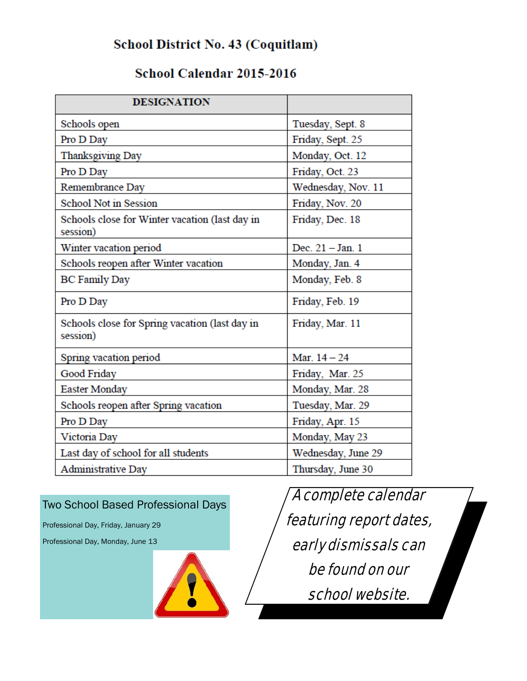# School District No. 43 (Coquitlam)

# School Calendar 2015-2016

| <b>DESIGNATION</b>                                         |                    |
|------------------------------------------------------------|--------------------|
| Schools open                                               | Tuesday, Sept. 8   |
| Pro D Day                                                  | Friday, Sept. 25   |
| Thanksgiving Day                                           | Monday, Oct. 12    |
| Pro D Day                                                  | Friday, Oct. 23    |
| Remembrance Day                                            | Wednesday, Nov. 11 |
| <b>School Not in Session</b>                               | Friday, Nov. 20    |
| Schools close for Winter vacation (last day in<br>session) | Friday, Dec. 18    |
| Winter vacation period                                     | Dec. 21 - Jan. 1   |
| Schools reopen after Winter vacation                       | Monday, Jan. 4     |
| <b>BC Family Day</b>                                       | Monday, Feb. 8     |
| Pro D Day                                                  | Friday, Feb. 19    |
| Schools close for Spring vacation (last day in<br>session) | Friday, Mar. 11    |
| Spring vacation period                                     | Mar. $14 - 24$     |
| Good Friday                                                | Friday, Mar. 25    |
| <b>Easter Monday</b>                                       | Monday, Mar. 28    |
| Schools reopen after Spring vacation                       | Tuesday, Mar. 29   |
| Pro D Day                                                  | Friday, Apr. 15    |
| Victoria Day                                               | Monday, May 23     |
| Last day of school for all students                        | Wednesday, June 29 |
| <b>Administrative Day</b>                                  | Thursday, June 30  |

# Two School Based Professional Days

Professional Day, Friday, January 29

Professional Day, Monday, June 13



A complete calendar featuring report dates, early dismissals can be found on our school website.